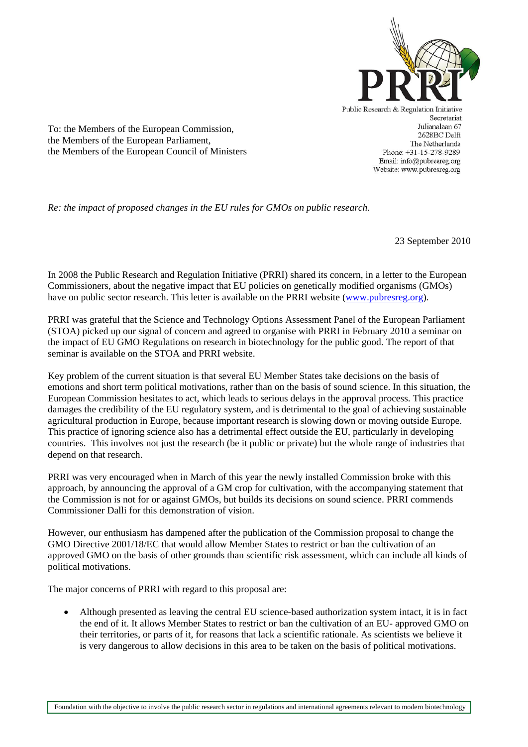

To: the Members of the European Commission, the Members of the European Parliament, the Members of the European Council of Ministers Public Research & Regulation Initiative Secretariat Julianalaan 67 2628BC Delft The Netherlands Phone: +31-15-278-9289 Email: info@pubresreg.org Website: www.pubresreg.org

*Re: the impact of proposed changes in the EU rules for GMOs on public research.* 

23 September 2010

In 2008 the Public Research and Regulation Initiative (PRRI) shared its concern, in a letter to the European Commissioners, about the negative impact that EU policies on genetically modified organisms (GMOs) have on public sector research. This letter is available on the PRRI website (www.pubresreg.org).

PRRI was grateful that the Science and Technology Options Assessment Panel of the European Parliament (STOA) picked up our signal of concern and agreed to organise with PRRI in February 2010 a seminar on the impact of EU GMO Regulations on research in biotechnology for the public good. The report of that seminar is available on the STOA and PRRI website.

Key problem of the current situation is that several EU Member States take decisions on the basis of emotions and short term political motivations, rather than on the basis of sound science. In this situation, the European Commission hesitates to act, which leads to serious delays in the approval process. This practice damages the credibility of the EU regulatory system, and is detrimental to the goal of achieving sustainable agricultural production in Europe, because important research is slowing down or moving outside Europe. This practice of ignoring science also has a detrimental effect outside the EU, particularly in developing countries. This involves not just the research (be it public or private) but the whole range of industries that depend on that research.

PRRI was very encouraged when in March of this year the newly installed Commission broke with this approach, by announcing the approval of a GM crop for cultivation, with the accompanying statement that the Commission is not for or against GMOs, but builds its decisions on sound science. PRRI commends Commissioner Dalli for this demonstration of vision.

However, our enthusiasm has dampened after the publication of the Commission proposal to change the GMO Directive 2001/18/EC that would allow Member States to restrict or ban the cultivation of an approved GMO on the basis of other grounds than scientific risk assessment, which can include all kinds of political motivations.

The major concerns of PRRI with regard to this proposal are:

• Although presented as leaving the central EU science-based authorization system intact, it is in fact the end of it. It allows Member States to restrict or ban the cultivation of an EU- approved GMO on their territories, or parts of it, for reasons that lack a scientific rationale. As scientists we believe it is very dangerous to allow decisions in this area to be taken on the basis of political motivations.

Ï